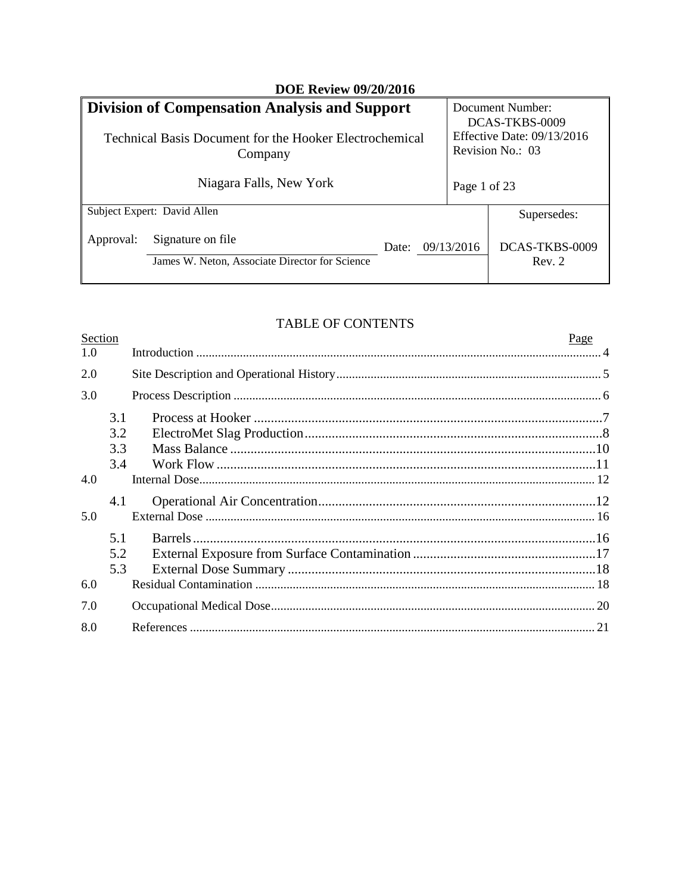| <b>DOE Review 09/20/2016</b>                                                                                               |                                                                     |       |                                                                                      |                          |
|----------------------------------------------------------------------------------------------------------------------------|---------------------------------------------------------------------|-------|--------------------------------------------------------------------------------------|--------------------------|
| <b>Division of Compensation Analysis and Support</b><br>Technical Basis Document for the Hooker Electrochemical<br>Company |                                                                     |       | Document Number:<br>DCAS-TKBS-0009<br>Effective Date: 09/13/2016<br>Revision No.: 03 |                          |
|                                                                                                                            | Niagara Falls, New York                                             |       | Page 1 of 23                                                                         |                          |
|                                                                                                                            | Subject Expert: David Allen                                         |       |                                                                                      | Supersedes:              |
| Approval:                                                                                                                  | Signature on file<br>James W. Neton, Associate Director for Science | Date: | 09/13/2016                                                                           | DCAS-TKBS-0009<br>Rev. 2 |

# **TABLE OF CONTENTS**

| Page |
|------|
|      |
|      |
|      |
|      |
|      |
|      |
|      |
|      |
|      |
|      |
|      |
|      |
|      |
|      |
|      |
|      |
|      |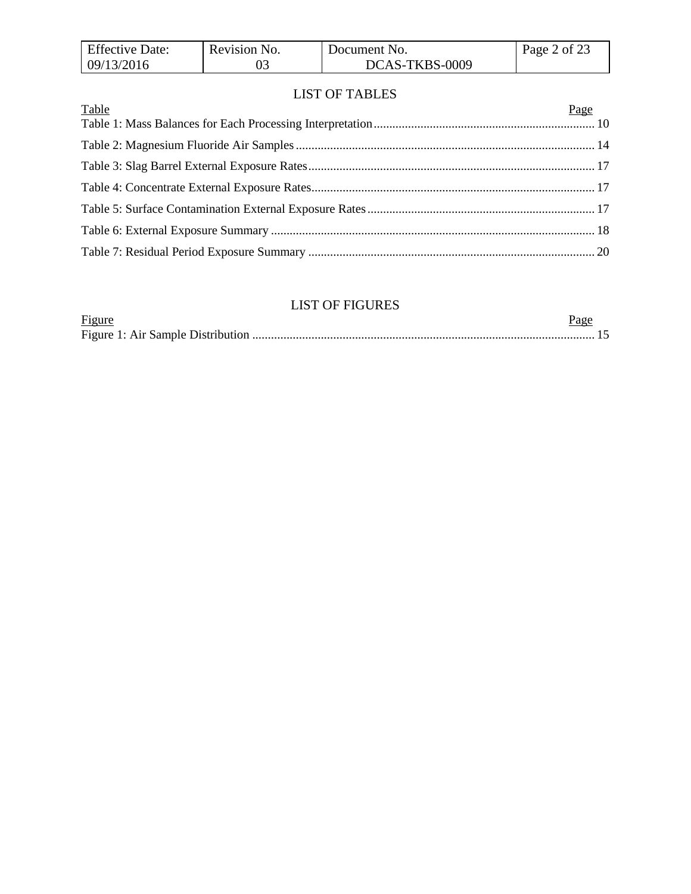| <b>Effective Date:</b> | Revision No. | Document No.   | Page 2 of 23 |
|------------------------|--------------|----------------|--------------|
| 09/13/2016             |              | DCAS-TKBS-0009 |              |

### LIST OF TABLES

| Table | Page |
|-------|------|
|       |      |
|       |      |
|       |      |
|       |      |
|       |      |
|       |      |
|       |      |

# LIST OF FIGURES

| Figure |  |
|--------|--|
|        |  |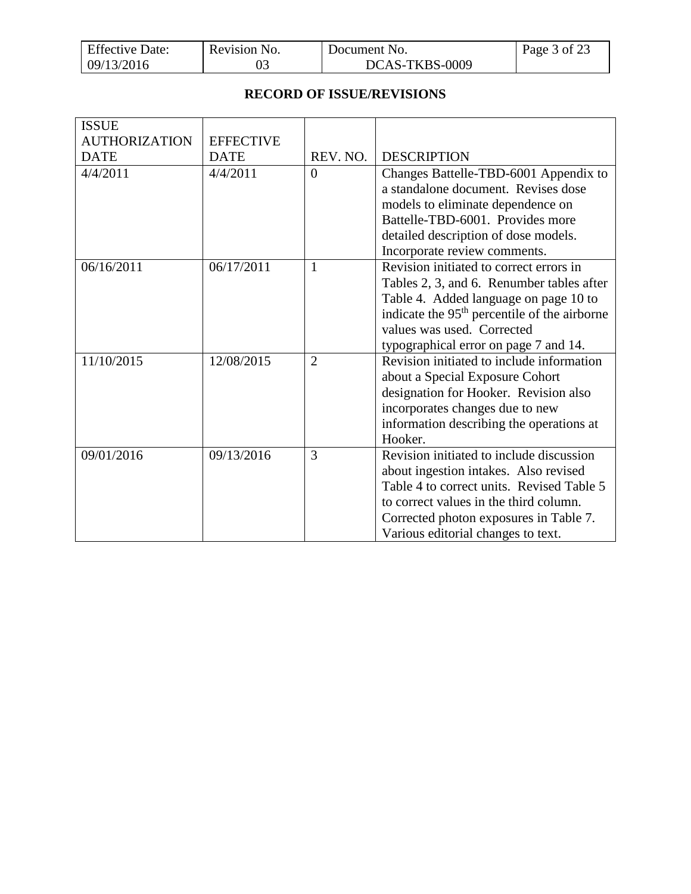| <b>Effective Date:</b> | Revision No. | Document No.   | Page 3 of 23 |
|------------------------|--------------|----------------|--------------|
| 09/13/2016             |              | DCAS-TKBS-0009 |              |

### **RECORD OF ISSUE/REVISIONS**

| <b>ISSUE</b>         |                  |                |                                                          |
|----------------------|------------------|----------------|----------------------------------------------------------|
| <b>AUTHORIZATION</b> | <b>EFFECTIVE</b> |                |                                                          |
| <b>DATE</b>          | <b>DATE</b>      | REV. NO.       | <b>DESCRIPTION</b>                                       |
| 4/4/2011             | 4/4/2011         | $\Omega$       | Changes Battelle-TBD-6001 Appendix to                    |
|                      |                  |                | a standalone document. Revises dose                      |
|                      |                  |                | models to eliminate dependence on                        |
|                      |                  |                | Battelle-TBD-6001. Provides more                         |
|                      |                  |                | detailed description of dose models.                     |
|                      |                  |                | Incorporate review comments.                             |
| 06/16/2011           | 06/17/2011       | 1              | Revision initiated to correct errors in                  |
|                      |                  |                | Tables 2, 3, and 6. Renumber tables after                |
|                      |                  |                | Table 4. Added language on page 10 to                    |
|                      |                  |                | indicate the 95 <sup>th</sup> percentile of the airborne |
|                      |                  |                | values was used. Corrected                               |
|                      |                  |                | typographical error on page 7 and 14.                    |
| 11/10/2015           | 12/08/2015       | $\overline{2}$ | Revision initiated to include information                |
|                      |                  |                | about a Special Exposure Cohort                          |
|                      |                  |                | designation for Hooker. Revision also                    |
|                      |                  |                | incorporates changes due to new                          |
|                      |                  |                | information describing the operations at                 |
|                      |                  |                | Hooker.                                                  |
| 09/01/2016           | 09/13/2016       | 3              | Revision initiated to include discussion                 |
|                      |                  |                | about ingestion intakes. Also revised                    |
|                      |                  |                | Table 4 to correct units. Revised Table 5                |
|                      |                  |                | to correct values in the third column.                   |
|                      |                  |                | Corrected photon exposures in Table 7.                   |
|                      |                  |                | Various editorial changes to text.                       |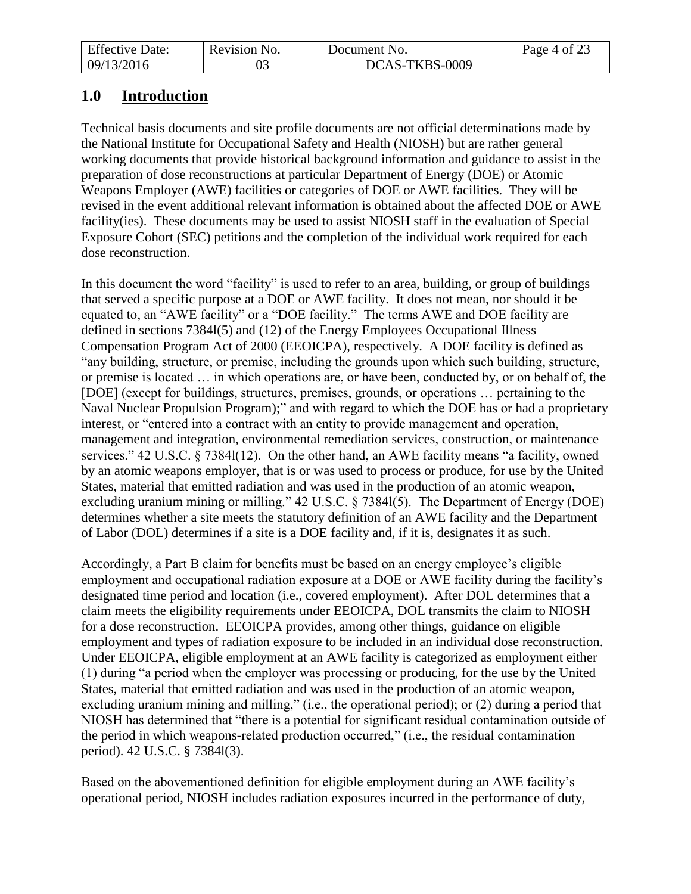| <b>Effective Date:</b> | Revision No. | Document No.   | Page 4 of 23 |
|------------------------|--------------|----------------|--------------|
| 09/13/2016             |              | DCAS-TKBS-0009 |              |

# <span id="page-3-0"></span>**1.0 Introduction**

Technical basis documents and site profile documents are not official determinations made by the National Institute for Occupational Safety and Health (NIOSH) but are rather general working documents that provide historical background information and guidance to assist in the preparation of dose reconstructions at particular Department of Energy (DOE) or Atomic Weapons Employer (AWE) facilities or categories of DOE or AWE facilities. They will be revised in the event additional relevant information is obtained about the affected DOE or AWE facility(ies). These documents may be used to assist NIOSH staff in the evaluation of Special Exposure Cohort (SEC) petitions and the completion of the individual work required for each dose reconstruction.

In this document the word "facility" is used to refer to an area, building, or group of buildings that served a specific purpose at a DOE or AWE facility. It does not mean, nor should it be equated to, an "AWE facility" or a "DOE facility." The terms AWE and DOE facility are defined in sections 7384l(5) and (12) of the Energy Employees Occupational Illness Compensation Program Act of 2000 (EEOICPA), respectively. A DOE facility is defined as "any building, structure, or premise, including the grounds upon which such building, structure, or premise is located … in which operations are, or have been, conducted by, or on behalf of, the [DOE] (except for buildings, structures, premises, grounds, or operations … pertaining to the Naval Nuclear Propulsion Program);" and with regard to which the DOE has or had a proprietary interest, or "entered into a contract with an entity to provide management and operation, management and integration, environmental remediation services, construction, or maintenance services." 42 U.S.C. § 7384l(12). On the other hand, an AWE facility means "a facility, owned by an atomic weapons employer, that is or was used to process or produce, for use by the United States, material that emitted radiation and was used in the production of an atomic weapon, excluding uranium mining or milling." 42 U.S.C. § 7384l(5). The Department of Energy (DOE) determines whether a site meets the statutory definition of an AWE facility and the Department of Labor (DOL) determines if a site is a DOE facility and, if it is, designates it as such.

Accordingly, a Part B claim for benefits must be based on an energy employee's eligible employment and occupational radiation exposure at a DOE or AWE facility during the facility's designated time period and location (i.e., covered employment). After DOL determines that a claim meets the eligibility requirements under EEOICPA, DOL transmits the claim to NIOSH for a dose reconstruction. EEOICPA provides, among other things, guidance on eligible employment and types of radiation exposure to be included in an individual dose reconstruction. Under EEOICPA, eligible employment at an AWE facility is categorized as employment either (1) during "a period when the employer was processing or producing, for the use by the United States, material that emitted radiation and was used in the production of an atomic weapon, excluding uranium mining and milling," (i.e., the operational period); or (2) during a period that NIOSH has determined that "there is a potential for significant residual contamination outside of the period in which weapons-related production occurred," (i.e., the residual contamination period). 42 U.S.C. § 7384l(3).

Based on the abovementioned definition for eligible employment during an AWE facility's operational period, NIOSH includes radiation exposures incurred in the performance of duty,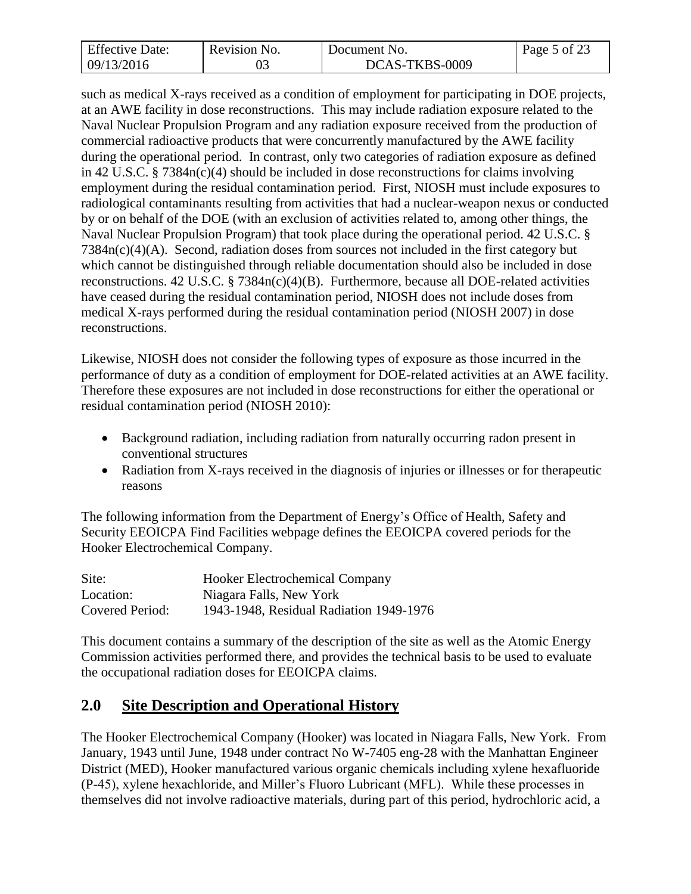| <b>Effective Date:</b> | Revision No. | Document No.   | Page 5 of 23 |
|------------------------|--------------|----------------|--------------|
| 09/13/2016             |              | DCAS-TKBS-0009 |              |

such as medical X-rays received as a condition of employment for participating in DOE projects, at an AWE facility in dose reconstructions. This may include radiation exposure related to the Naval Nuclear Propulsion Program and any radiation exposure received from the production of commercial radioactive products that were concurrently manufactured by the AWE facility during the operational period. In contrast, only two categories of radiation exposure as defined in 42 U.S.C. § 7384n(c)(4) should be included in dose reconstructions for claims involving employment during the residual contamination period. First, NIOSH must include exposures to radiological contaminants resulting from activities that had a nuclear-weapon nexus or conducted by or on behalf of the DOE (with an exclusion of activities related to, among other things, the Naval Nuclear Propulsion Program) that took place during the operational period. 42 U.S.C. § 7384n(c)(4)(A). Second, radiation doses from sources not included in the first category but which cannot be distinguished through reliable documentation should also be included in dose reconstructions. 42 U.S.C. § 7384n(c)(4)(B). Furthermore, because all DOE-related activities have ceased during the residual contamination period, NIOSH does not include doses from medical X-rays performed during the residual contamination period (NIOSH 2007) in dose reconstructions.

Likewise, NIOSH does not consider the following types of exposure as those incurred in the performance of duty as a condition of employment for DOE-related activities at an AWE facility. Therefore these exposures are not included in dose reconstructions for either the operational or residual contamination period (NIOSH 2010):

- Background radiation, including radiation from naturally occurring radon present in conventional structures
- Radiation from X-rays received in the diagnosis of injuries or illnesses or for therapeutic reasons

The following information from the Department of Energy's Office of Health, Safety and Security EEOICPA Find Facilities webpage defines the EEOICPA covered periods for the Hooker Electrochemical Company.

| Site:           | <b>Hooker Electrochemical Company</b>   |
|-----------------|-----------------------------------------|
| Location:       | Niagara Falls, New York                 |
| Covered Period: | 1943-1948, Residual Radiation 1949-1976 |

This document contains a summary of the description of the site as well as the Atomic Energy Commission activities performed there, and provides the technical basis to be used to evaluate the occupational radiation doses for EEOICPA claims.

# <span id="page-4-0"></span>**2.0 Site Description and Operational History**

The Hooker Electrochemical Company (Hooker) was located in Niagara Falls, New York. From January, 1943 until June, 1948 under contract No W-7405 eng-28 with the Manhattan Engineer District (MED), Hooker manufactured various organic chemicals including xylene hexafluoride (P-45), xylene hexachloride, and Miller's Fluoro Lubricant (MFL). While these processes in themselves did not involve radioactive materials, during part of this period, hydrochloric acid, a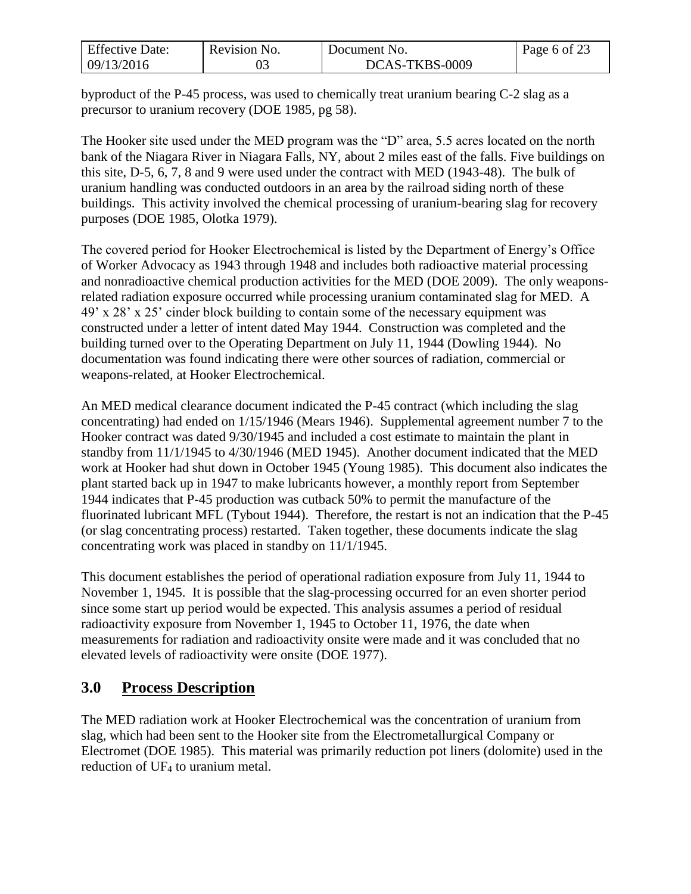| <b>Effective Date:</b> | Revision No. | Document No.   | Page 6 of 23 |
|------------------------|--------------|----------------|--------------|
| 09/13/2016             |              | DCAS-TKBS-0009 |              |

byproduct of the P-45 process, was used to chemically treat uranium bearing C-2 slag as a precursor to uranium recovery (DOE 1985, pg 58).

The Hooker site used under the MED program was the "D" area, 5.5 acres located on the north bank of the Niagara River in Niagara Falls, NY, about 2 miles east of the falls. Five buildings on this site, D-5, 6, 7, 8 and 9 were used under the contract with MED (1943-48). The bulk of uranium handling was conducted outdoors in an area by the railroad siding north of these buildings. This activity involved the chemical processing of uranium-bearing slag for recovery purposes (DOE 1985, Olotka 1979).

The covered period for Hooker Electrochemical is listed by the Department of Energy's Office of Worker Advocacy as 1943 through 1948 and includes both radioactive material processing and nonradioactive chemical production activities for the MED (DOE 2009). The only weaponsrelated radiation exposure occurred while processing uranium contaminated slag for MED. A 49' x 28' x 25' cinder block building to contain some of the necessary equipment was constructed under a letter of intent dated May 1944. Construction was completed and the building turned over to the Operating Department on July 11, 1944 (Dowling 1944). No documentation was found indicating there were other sources of radiation, commercial or weapons-related, at Hooker Electrochemical.

An MED medical clearance document indicated the P-45 contract (which including the slag concentrating) had ended on 1/15/1946 (Mears 1946). Supplemental agreement number 7 to the Hooker contract was dated 9/30/1945 and included a cost estimate to maintain the plant in standby from 11/1/1945 to 4/30/1946 (MED 1945). Another document indicated that the MED work at Hooker had shut down in October 1945 (Young 1985). This document also indicates the plant started back up in 1947 to make lubricants however, a monthly report from September 1944 indicates that P-45 production was cutback 50% to permit the manufacture of the fluorinated lubricant MFL (Tybout 1944). Therefore, the restart is not an indication that the P-45 (or slag concentrating process) restarted. Taken together, these documents indicate the slag concentrating work was placed in standby on 11/1/1945.

This document establishes the period of operational radiation exposure from July 11, 1944 to November 1, 1945. It is possible that the slag-processing occurred for an even shorter period since some start up period would be expected. This analysis assumes a period of residual radioactivity exposure from November 1, 1945 to October 11, 1976, the date when measurements for radiation and radioactivity onsite were made and it was concluded that no elevated levels of radioactivity were onsite (DOE 1977).

# <span id="page-5-0"></span>**3.0 Process Description**

The MED radiation work at Hooker Electrochemical was the concentration of uranium from slag, which had been sent to the Hooker site from the Electrometallurgical Company or Electromet (DOE 1985). This material was primarily reduction pot liners (dolomite) used in the reduction of UF<sup>4</sup> to uranium metal.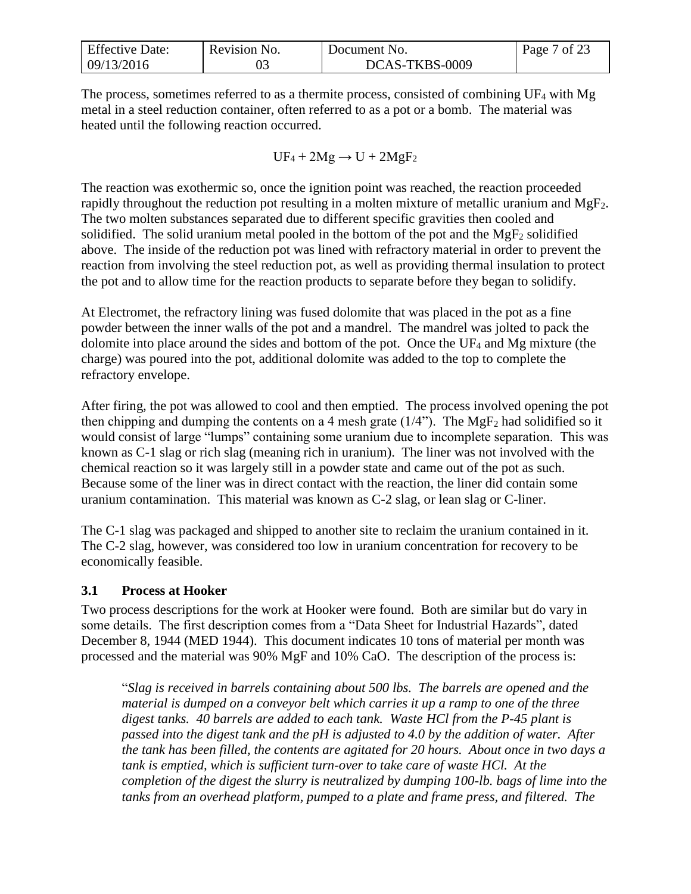| <b>Effective Date:</b> | Revision No. | Document No.   | 7 of 23<br>Page <sup>'</sup> |
|------------------------|--------------|----------------|------------------------------|
| 09/13/2016             |              | DCAS-TKBS-0009 |                              |

The process, sometimes referred to as a thermite process, consisted of combining UF<sup>4</sup> with Mg metal in a steel reduction container, often referred to as a pot or a bomb. The material was heated until the following reaction occurred.

$$
UF_4 + 2Mg \rightarrow U + 2MgF_2
$$

The reaction was exothermic so, once the ignition point was reached, the reaction proceeded rapidly throughout the reduction pot resulting in a molten mixture of metallic uranium and MgF2. The two molten substances separated due to different specific gravities then cooled and solidified. The solid uranium metal pooled in the bottom of the pot and the  $MgF_2$  solidified above. The inside of the reduction pot was lined with refractory material in order to prevent the reaction from involving the steel reduction pot, as well as providing thermal insulation to protect the pot and to allow time for the reaction products to separate before they began to solidify.

At Electromet, the refractory lining was fused dolomite that was placed in the pot as a fine powder between the inner walls of the pot and a mandrel. The mandrel was jolted to pack the dolomite into place around the sides and bottom of the pot. Once the UF<sup>4</sup> and Mg mixture (the charge) was poured into the pot, additional dolomite was added to the top to complete the refractory envelope.

After firing, the pot was allowed to cool and then emptied. The process involved opening the pot then chipping and dumping the contents on a 4 mesh grate  $(1/4)$ . The MgF<sub>2</sub> had solidified so it would consist of large "lumps" containing some uranium due to incomplete separation. This was known as C-1 slag or rich slag (meaning rich in uranium). The liner was not involved with the chemical reaction so it was largely still in a powder state and came out of the pot as such. Because some of the liner was in direct contact with the reaction, the liner did contain some uranium contamination. This material was known as C-2 slag, or lean slag or C-liner.

The C-1 slag was packaged and shipped to another site to reclaim the uranium contained in it. The C-2 slag, however, was considered too low in uranium concentration for recovery to be economically feasible.

### <span id="page-6-0"></span>**3.1 Process at Hooker**

Two process descriptions for the work at Hooker were found. Both are similar but do vary in some details. The first description comes from a "Data Sheet for Industrial Hazards", dated December 8, 1944 (MED 1944). This document indicates 10 tons of material per month was processed and the material was 90% MgF and 10% CaO. The description of the process is:

"*Slag is received in barrels containing about 500 lbs. The barrels are opened and the material is dumped on a conveyor belt which carries it up a ramp to one of the three digest tanks. 40 barrels are added to each tank. Waste HCl from the P-45 plant is passed into the digest tank and the pH is adjusted to 4.0 by the addition of water. After the tank has been filled, the contents are agitated for 20 hours. About once in two days a*  tank is emptied, which is sufficient turn-over to take care of waste HCl. At the *completion of the digest the slurry is neutralized by dumping 100-lb. bags of lime into the tanks from an overhead platform, pumped to a plate and frame press, and filtered. The*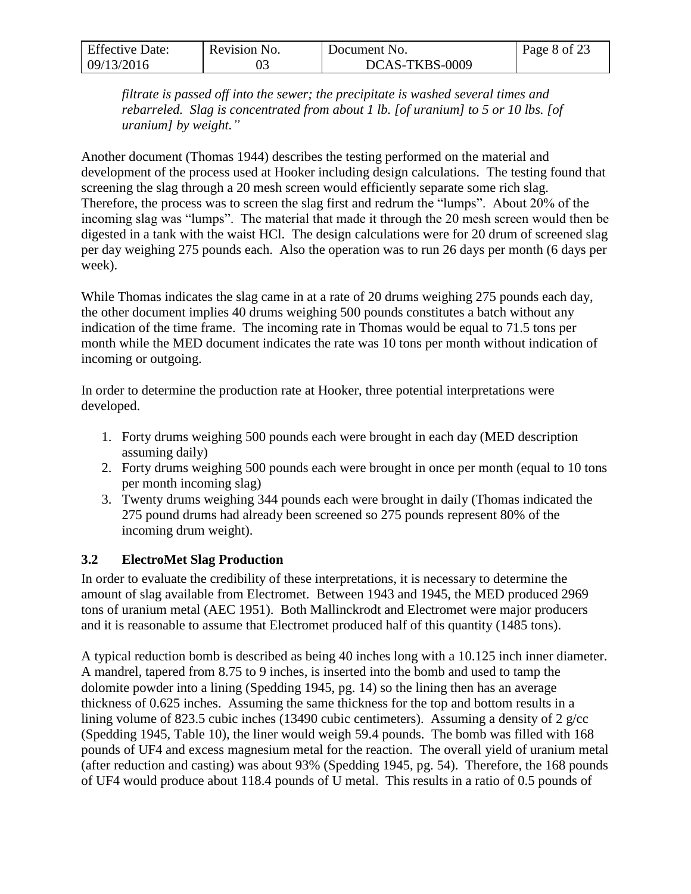| <b>Effective Date:</b> | Revision No. | Document No.   | Page 8 of 23 |
|------------------------|--------------|----------------|--------------|
| 09/13/2016             |              | DCAS-TKBS-0009 |              |

*filtrate is passed off into the sewer; the precipitate is washed several times and rebarreled. Slag is concentrated from about 1 lb. [of uranium] to 5 or 10 lbs. [of uranium] by weight."*

Another document (Thomas 1944) describes the testing performed on the material and development of the process used at Hooker including design calculations. The testing found that screening the slag through a 20 mesh screen would efficiently separate some rich slag. Therefore, the process was to screen the slag first and redrum the "lumps". About 20% of the incoming slag was "lumps". The material that made it through the 20 mesh screen would then be digested in a tank with the waist HCl. The design calculations were for 20 drum of screened slag per day weighing 275 pounds each. Also the operation was to run 26 days per month (6 days per week).

While Thomas indicates the slag came in at a rate of 20 drums weighing 275 pounds each day, the other document implies 40 drums weighing 500 pounds constitutes a batch without any indication of the time frame. The incoming rate in Thomas would be equal to 71.5 tons per month while the MED document indicates the rate was 10 tons per month without indication of incoming or outgoing.

In order to determine the production rate at Hooker, three potential interpretations were developed.

- 1. Forty drums weighing 500 pounds each were brought in each day (MED description assuming daily)
- 2. Forty drums weighing 500 pounds each were brought in once per month (equal to 10 tons per month incoming slag)
- 3. Twenty drums weighing 344 pounds each were brought in daily (Thomas indicated the 275 pound drums had already been screened so 275 pounds represent 80% of the incoming drum weight).

## <span id="page-7-0"></span>**3.2 ElectroMet Slag Production**

In order to evaluate the credibility of these interpretations, it is necessary to determine the amount of slag available from Electromet. Between 1943 and 1945, the MED produced 2969 tons of uranium metal (AEC 1951). Both Mallinckrodt and Electromet were major producers and it is reasonable to assume that Electromet produced half of this quantity (1485 tons).

A typical reduction bomb is described as being 40 inches long with a 10.125 inch inner diameter. A mandrel, tapered from 8.75 to 9 inches, is inserted into the bomb and used to tamp the dolomite powder into a lining (Spedding 1945, pg. 14) so the lining then has an average thickness of 0.625 inches. Assuming the same thickness for the top and bottom results in a lining volume of 823.5 cubic inches (13490 cubic centimeters). Assuming a density of 2 g/cc (Spedding 1945, Table 10), the liner would weigh 59.4 pounds. The bomb was filled with 168 pounds of UF4 and excess magnesium metal for the reaction. The overall yield of uranium metal (after reduction and casting) was about 93% (Spedding 1945, pg. 54). Therefore, the 168 pounds of UF4 would produce about 118.4 pounds of U metal. This results in a ratio of 0.5 pounds of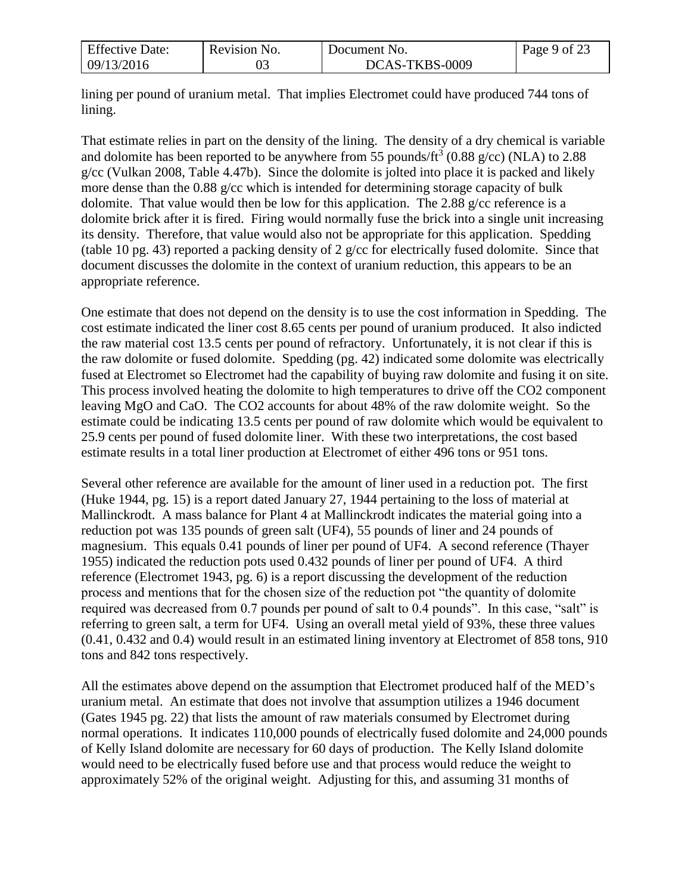| <b>Effective Date:</b> | Revision No. | Document No.   | Page 9 of 23 |
|------------------------|--------------|----------------|--------------|
| 09/13/2016             |              | DCAS-TKBS-0009 |              |

lining per pound of uranium metal. That implies Electromet could have produced 744 tons of lining.

That estimate relies in part on the density of the lining. The density of a dry chemical is variable and dolomite has been reported to be anywhere from 55 pounds/ft<sup>3</sup> (0.88 g/cc) (NLA) to 2.88 g/cc (Vulkan 2008, Table 4.47b). Since the dolomite is jolted into place it is packed and likely more dense than the 0.88 g/cc which is intended for determining storage capacity of bulk dolomite. That value would then be low for this application. The 2.88 g/cc reference is a dolomite brick after it is fired. Firing would normally fuse the brick into a single unit increasing its density. Therefore, that value would also not be appropriate for this application. Spedding (table 10 pg. 43) reported a packing density of 2 g/cc for electrically fused dolomite. Since that document discusses the dolomite in the context of uranium reduction, this appears to be an appropriate reference.

One estimate that does not depend on the density is to use the cost information in Spedding. The cost estimate indicated the liner cost 8.65 cents per pound of uranium produced. It also indicted the raw material cost 13.5 cents per pound of refractory. Unfortunately, it is not clear if this is the raw dolomite or fused dolomite. Spedding (pg. 42) indicated some dolomite was electrically fused at Electromet so Electromet had the capability of buying raw dolomite and fusing it on site. This process involved heating the dolomite to high temperatures to drive off the CO2 component leaving MgO and CaO. The CO2 accounts for about 48% of the raw dolomite weight. So the estimate could be indicating 13.5 cents per pound of raw dolomite which would be equivalent to 25.9 cents per pound of fused dolomite liner. With these two interpretations, the cost based estimate results in a total liner production at Electromet of either 496 tons or 951 tons.

Several other reference are available for the amount of liner used in a reduction pot. The first (Huke 1944, pg. 15) is a report dated January 27, 1944 pertaining to the loss of material at Mallinckrodt. A mass balance for Plant 4 at Mallinckrodt indicates the material going into a reduction pot was 135 pounds of green salt (UF4), 55 pounds of liner and 24 pounds of magnesium. This equals 0.41 pounds of liner per pound of UF4. A second reference (Thayer 1955) indicated the reduction pots used 0.432 pounds of liner per pound of UF4. A third reference (Electromet 1943, pg. 6) is a report discussing the development of the reduction process and mentions that for the chosen size of the reduction pot "the quantity of dolomite required was decreased from 0.7 pounds per pound of salt to 0.4 pounds". In this case, "salt" is referring to green salt, a term for UF4. Using an overall metal yield of 93%, these three values (0.41, 0.432 and 0.4) would result in an estimated lining inventory at Electromet of 858 tons, 910 tons and 842 tons respectively.

All the estimates above depend on the assumption that Electromet produced half of the MED's uranium metal. An estimate that does not involve that assumption utilizes a 1946 document (Gates 1945 pg. 22) that lists the amount of raw materials consumed by Electromet during normal operations. It indicates 110,000 pounds of electrically fused dolomite and 24,000 pounds of Kelly Island dolomite are necessary for 60 days of production. The Kelly Island dolomite would need to be electrically fused before use and that process would reduce the weight to approximately 52% of the original weight. Adjusting for this, and assuming 31 months of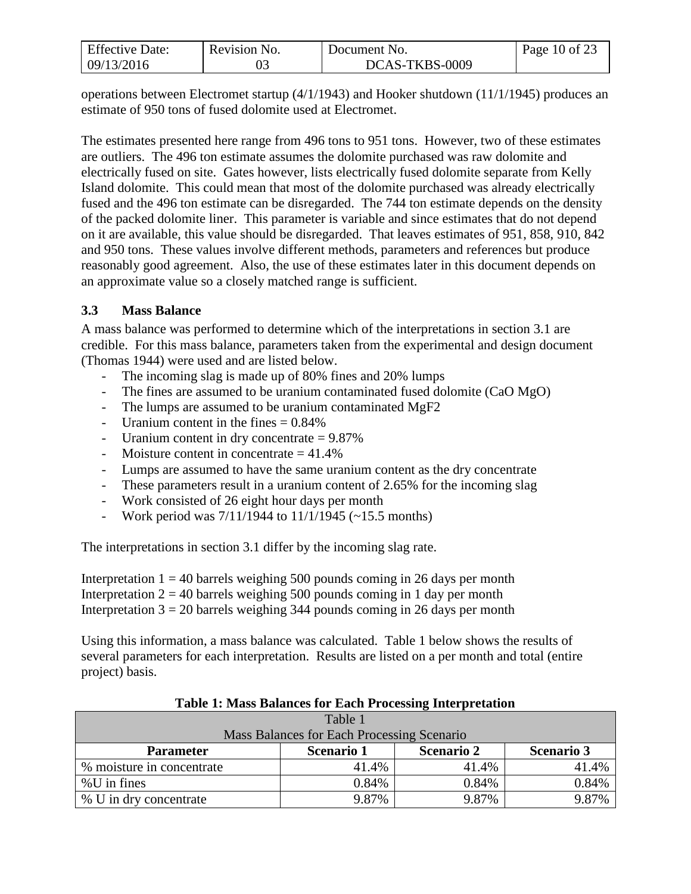| <b>Effective Date:</b> | Revision No. | Document No.   | Page 10 of 23 |
|------------------------|--------------|----------------|---------------|
| 09/13/2016             |              | DCAS-TKBS-0009 |               |

operations between Electromet startup (4/1/1943) and Hooker shutdown (11/1/1945) produces an estimate of 950 tons of fused dolomite used at Electromet.

The estimates presented here range from 496 tons to 951 tons. However, two of these estimates are outliers. The 496 ton estimate assumes the dolomite purchased was raw dolomite and electrically fused on site. Gates however, lists electrically fused dolomite separate from Kelly Island dolomite. This could mean that most of the dolomite purchased was already electrically fused and the 496 ton estimate can be disregarded. The 744 ton estimate depends on the density of the packed dolomite liner. This parameter is variable and since estimates that do not depend on it are available, this value should be disregarded. That leaves estimates of 951, 858, 910, 842 and 950 tons. These values involve different methods, parameters and references but produce reasonably good agreement. Also, the use of these estimates later in this document depends on an approximate value so a closely matched range is sufficient.

### <span id="page-9-0"></span>**3.3 Mass Balance**

A mass balance was performed to determine which of the interpretations in section 3.1 are credible. For this mass balance, parameters taken from the experimental and design document (Thomas 1944) were used and are listed below.

- The incoming slag is made up of 80% fines and 20% lumps
- The fines are assumed to be uranium contaminated fused dolomite (CaO MgO)
- The lumps are assumed to be uranium contaminated MgF2
- Uranium content in the fines  $= 0.84\%$
- Uranium content in dry concentrate  $= 9.87\%$
- Moisture content in concentrate  $= 41.4\%$
- Lumps are assumed to have the same uranium content as the dry concentrate
- These parameters result in a uranium content of 2.65% for the incoming slag
- Work consisted of 26 eight hour days per month
- Work period was  $7/11/1944$  to  $11/1/1945$  (~15.5 months)

The interpretations in section 3.1 differ by the incoming slag rate.

Interpretation  $1 = 40$  barrels weighing 500 pounds coming in 26 days per month Interpretation  $2 = 40$  barrels weighing 500 pounds coming in 1 day per month Interpretation  $3 = 20$  barrels weighing 344 pounds coming in 26 days per month

Using this information, a mass balance was calculated. Table 1 below shows the results of several parameters for each interpretation. Results are listed on a per month and total (entire project) basis.

| Table 1                                    |            |                   |                   |  |  |
|--------------------------------------------|------------|-------------------|-------------------|--|--|
| Mass Balances for Each Processing Scenario |            |                   |                   |  |  |
| <b>Parameter</b>                           | Scenario 1 | <b>Scenario 2</b> | <b>Scenario 3</b> |  |  |
| % moisture in concentrate                  | 41.4%      | 41.4%             | 41.4%             |  |  |
| $%$ U in fines                             | 0.84%      | 0.84%             | 0.84%             |  |  |
| % U in dry concentrate                     | 9.87%      | 9.87%             | 9.87%             |  |  |

#### **Table 1: Mass Balances for Each Processing Interpretation**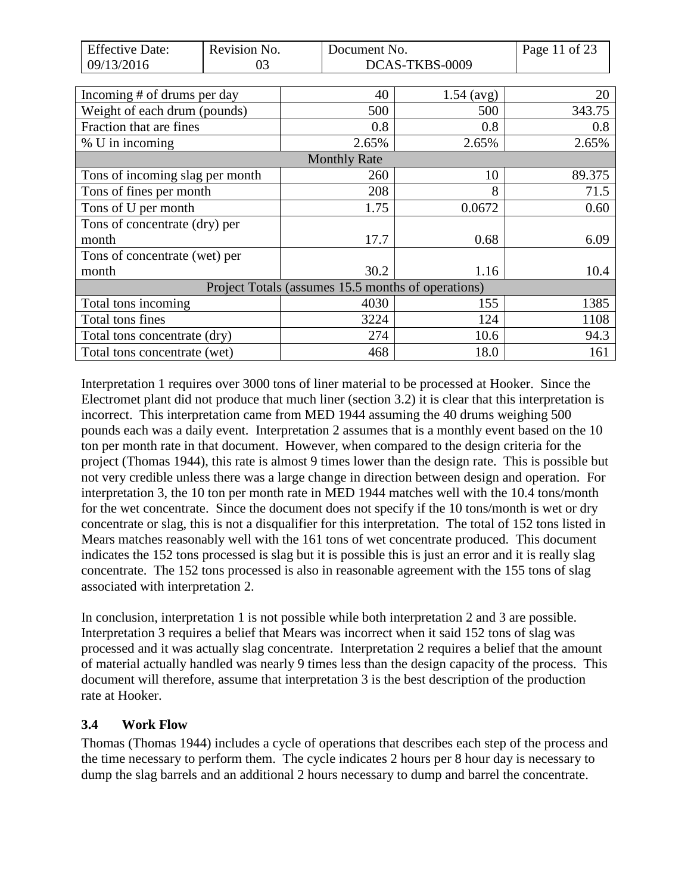| <b>Effective Date:</b>          | Revision No. | Document No.                                       |                      | Page 11 of 23 |
|---------------------------------|--------------|----------------------------------------------------|----------------------|---------------|
| 09/13/2016                      | 03           |                                                    | DCAS-TKBS-0009       |               |
|                                 |              |                                                    |                      |               |
| Incoming # of drums per day     |              | 40                                                 | $1.54 \text{ (avg)}$ | 20            |
| Weight of each drum (pounds)    |              | 500                                                | 500                  | 343.75        |
| Fraction that are fines         |              | 0.8                                                | 0.8                  | 0.8           |
| % U in incoming                 |              | 2.65%                                              | 2.65%                | 2.65%         |
|                                 |              | <b>Monthly Rate</b>                                |                      |               |
| Tons of incoming slag per month |              | 260                                                | 10                   | 89.375        |
| Tons of fines per month         |              | 208                                                | 8                    | 71.5          |
| Tons of U per month             |              | 1.75                                               | 0.0672               | 0.60          |
| Tons of concentrate (dry) per   |              |                                                    |                      |               |
| month                           |              | 17.7                                               | 0.68                 | 6.09          |
| Tons of concentrate (wet) per   |              |                                                    |                      |               |
| month                           |              | 30.2                                               | 1.16                 | 10.4          |
|                                 |              | Project Totals (assumes 15.5 months of operations) |                      |               |
| Total tons incoming             |              | 4030                                               | 155                  | 1385          |
| Total tons fines                |              | 3224                                               | 124                  | 1108          |
| Total tons concentrate (dry)    |              | 274                                                | 10.6                 | 94.3          |
| Total tons concentrate (wet)    |              | 468                                                | 18.0                 | 161           |

Interpretation 1 requires over 3000 tons of liner material to be processed at Hooker. Since the Electromet plant did not produce that much liner (section 3.2) it is clear that this interpretation is incorrect. This interpretation came from MED 1944 assuming the 40 drums weighing 500 pounds each was a daily event. Interpretation 2 assumes that is a monthly event based on the 10 ton per month rate in that document. However, when compared to the design criteria for the project (Thomas 1944), this rate is almost 9 times lower than the design rate. This is possible but not very credible unless there was a large change in direction between design and operation. For interpretation 3, the 10 ton per month rate in MED 1944 matches well with the 10.4 tons/month for the wet concentrate. Since the document does not specify if the 10 tons/month is wet or dry concentrate or slag, this is not a disqualifier for this interpretation. The total of 152 tons listed in Mears matches reasonably well with the 161 tons of wet concentrate produced. This document indicates the 152 tons processed is slag but it is possible this is just an error and it is really slag concentrate. The 152 tons processed is also in reasonable agreement with the 155 tons of slag associated with interpretation 2.

In conclusion, interpretation 1 is not possible while both interpretation 2 and 3 are possible. Interpretation 3 requires a belief that Mears was incorrect when it said 152 tons of slag was processed and it was actually slag concentrate. Interpretation 2 requires a belief that the amount of material actually handled was nearly 9 times less than the design capacity of the process. This document will therefore, assume that interpretation 3 is the best description of the production rate at Hooker.

## <span id="page-10-0"></span>**3.4 Work Flow**

Thomas (Thomas 1944) includes a cycle of operations that describes each step of the process and the time necessary to perform them. The cycle indicates 2 hours per 8 hour day is necessary to dump the slag barrels and an additional 2 hours necessary to dump and barrel the concentrate.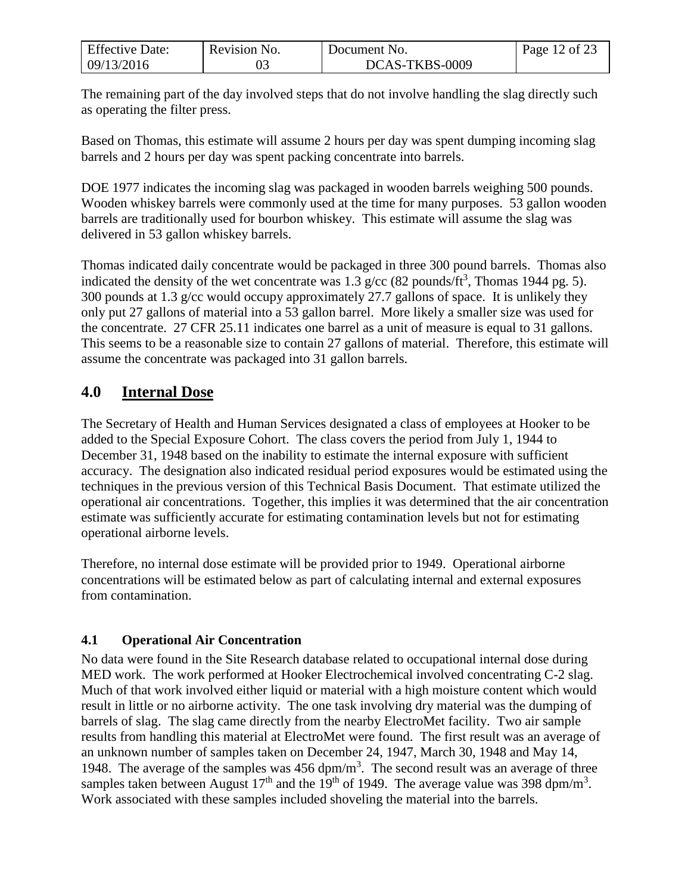| <b>Effective Date:</b> | Revision No. | Document No.   | Page 12 of 23 |
|------------------------|--------------|----------------|---------------|
| 09/13/2016             |              | DCAS-TKBS-0009 |               |

The remaining part of the day involved steps that do not involve handling the slag directly such as operating the filter press.

Based on Thomas, this estimate will assume 2 hours per day was spent dumping incoming slag barrels and 2 hours per day was spent packing concentrate into barrels.

DOE 1977 indicates the incoming slag was packaged in wooden barrels weighing 500 pounds. Wooden whiskey barrels were commonly used at the time for many purposes. 53 gallon wooden barrels are traditionally used for bourbon whiskey. This estimate will assume the slag was delivered in 53 gallon whiskey barrels.

Thomas indicated daily concentrate would be packaged in three 300 pound barrels. Thomas also indicated the density of the wet concentrate was 1.3 g/cc (82 pounds/ft<sup>3</sup>, Thomas 1944 pg. 5). 300 pounds at 1.3 g/cc would occupy approximately 27.7 gallons of space. It is unlikely they only put 27 gallons of material into a 53 gallon barrel. More likely a smaller size was used for the concentrate. 27 CFR 25.11 indicates one barrel as a unit of measure is equal to 31 gallons. This seems to be a reasonable size to contain 27 gallons of material. Therefore, this estimate will assume the concentrate was packaged into 31 gallon barrels.

# <span id="page-11-0"></span>**4.0 Internal Dose**

The Secretary of Health and Human Services designated a class of employees at Hooker to be added to the Special Exposure Cohort. The class covers the period from July 1, 1944 to December 31, 1948 based on the inability to estimate the internal exposure with sufficient accuracy. The designation also indicated residual period exposures would be estimated using the techniques in the previous version of this Technical Basis Document. That estimate utilized the operational air concentrations. Together, this implies it was determined that the air concentration estimate was sufficiently accurate for estimating contamination levels but not for estimating operational airborne levels.

Therefore, no internal dose estimate will be provided prior to 1949. Operational airborne concentrations will be estimated below as part of calculating internal and external exposures from contamination.

### <span id="page-11-1"></span>**4.1 Operational Air Concentration**

No data were found in the Site Research database related to occupational internal dose during MED work. The work performed at Hooker Electrochemical involved concentrating C-2 slag. Much of that work involved either liquid or material with a high moisture content which would result in little or no airborne activity. The one task involving dry material was the dumping of barrels of slag. The slag came directly from the nearby ElectroMet facility. Two air sample results from handling this material at ElectroMet were found. The first result was an average of an unknown number of samples taken on December 24, 1947, March 30, 1948 and May 14, 1948. The average of the samples was  $456 \text{ dpm/m}^3$ . The second result was an average of three samples taken between August 17<sup>th</sup> and the 19<sup>th</sup> of 1949. The average value was 398 dpm/m<sup>3</sup>. Work associated with these samples included shoveling the material into the barrels.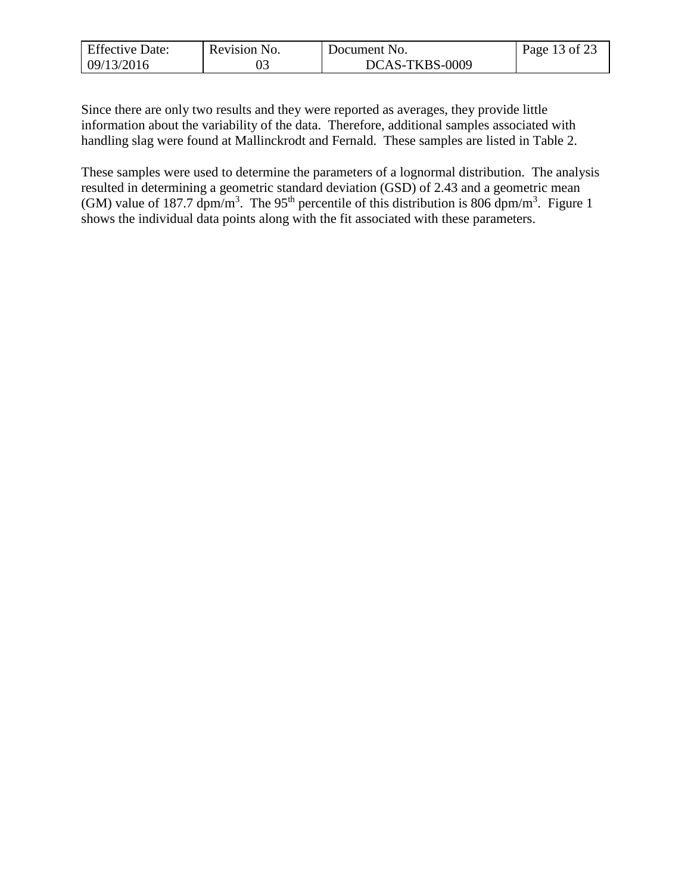| <b>Effective Date:</b> | Revision No. | Document No.   | Page 13 of 23 |
|------------------------|--------------|----------------|---------------|
| 09/13/2016             |              | DCAS-TKBS-0009 |               |

Since there are only two results and they were reported as averages, they provide little information about the variability of the data. Therefore, additional samples associated with handling slag were found at Mallinckrodt and Fernald. These samples are listed in Table 2.

These samples were used to determine the parameters of a lognormal distribution. The analysis resulted in determining a geometric standard deviation (GSD) of 2.43 and a geometric mean (GM) value of 187.7 dpm/m<sup>3</sup>. The 95<sup>th</sup> percentile of this distribution is 806 dpm/m<sup>3</sup>. Figure 1 shows the individual data points along with the fit associated with these parameters.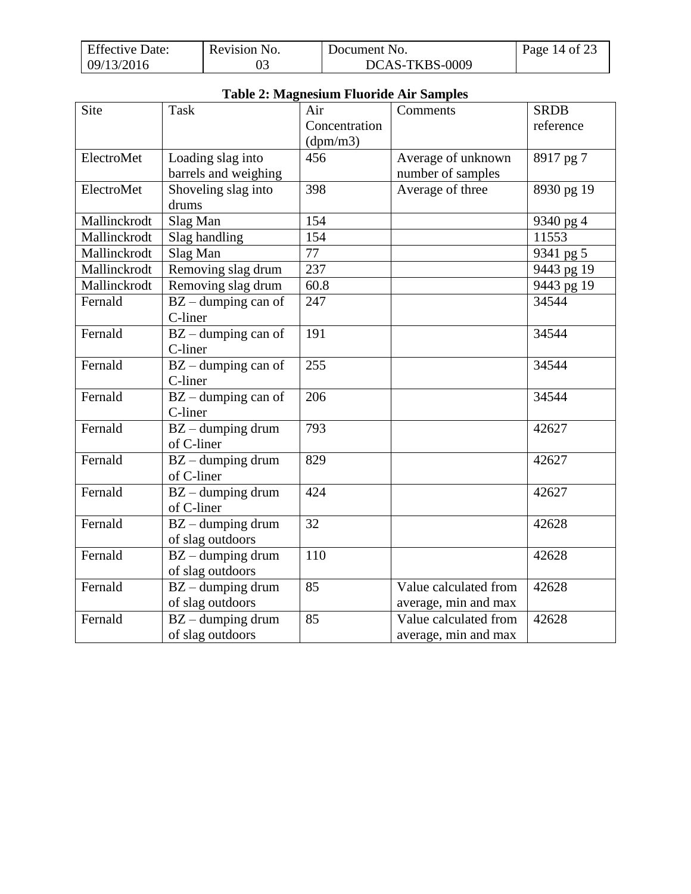| <b>Effective Date:</b> | Revision No. | Document No.   | Page 14 of 23 |
|------------------------|--------------|----------------|---------------|
| 09/13/2016             |              | DCAS-TKBS-0009 |               |

| Table 2: Magnesium Fiuoride Air Samples |                       |               |                       |                      |
|-----------------------------------------|-----------------------|---------------|-----------------------|----------------------|
| <b>Site</b>                             | <b>Task</b>           | Air           | Comments              | <b>SRDB</b>          |
|                                         |                       | Concentration |                       | reference            |
|                                         |                       | (dpm/m3)      |                       |                      |
| ElectroMet                              | Loading slag into     | 456           | Average of unknown    | 8917 pg 7            |
|                                         | barrels and weighing  |               | number of samples     |                      |
| ElectroMet                              | Shoveling slag into   | 398           | Average of three      | $8930 \text{ pg} 19$ |
|                                         | drums                 |               |                       |                      |
| Mallinckrodt                            | Slag Man              | 154           |                       | 9340 pg 4            |
| Mallinckrodt                            | Slag handling         | 154           |                       | 11553                |
| Mallinckrodt                            | Slag Man              | 77            |                       | 9341 pg 5            |
| Mallinckrodt                            | Removing slag drum    | 237           |                       | 9443 pg 19           |
| Mallinckrodt                            | Removing slag drum    | 60.8          |                       | 9443 pg 19           |
| Fernald                                 | $BZ$ – dumping can of | 247           |                       | 34544                |
|                                         | C-liner               |               |                       |                      |
| Fernald                                 | $BZ$ – dumping can of | 191           |                       | 34544                |
|                                         | C-liner               |               |                       |                      |
| Fernald                                 | $BZ$ – dumping can of | 255           |                       | 34544                |
|                                         | C-liner               |               |                       |                      |
| Fernald                                 | $BZ$ – dumping can of | 206           |                       | 34544                |
|                                         | C-liner               |               |                       |                      |
| Fernald                                 | $BZ$ – dumping drum   | 793           |                       | 42627                |
|                                         | of C-liner            |               |                       |                      |
| Fernald                                 | $BZ$ – dumping drum   | 829           |                       | 42627                |
|                                         | of C-liner            |               |                       |                      |
| Fernald                                 | $BZ$ – dumping drum   | 424           |                       | 42627                |
|                                         | of C-liner            |               |                       |                      |
| Fernald                                 | $BZ$ – dumping drum   | 32            |                       | 42628                |
|                                         | of slag outdoors      |               |                       |                      |
| Fernald                                 | $BZ$ – dumping drum   | 110           |                       | 42628                |
|                                         | of slag outdoors      |               |                       |                      |
| Fernald                                 | $BZ$ – dumping drum   | 85            | Value calculated from | 42628                |
|                                         | of slag outdoors      |               | average, min and max  |                      |
| Fernald                                 | $BZ$ – dumping drum   | 85            | Value calculated from | 42628                |
|                                         | of slag outdoors      |               | average, min and max  |                      |

# **Table 2: Magnesium Fluoride Air Samples**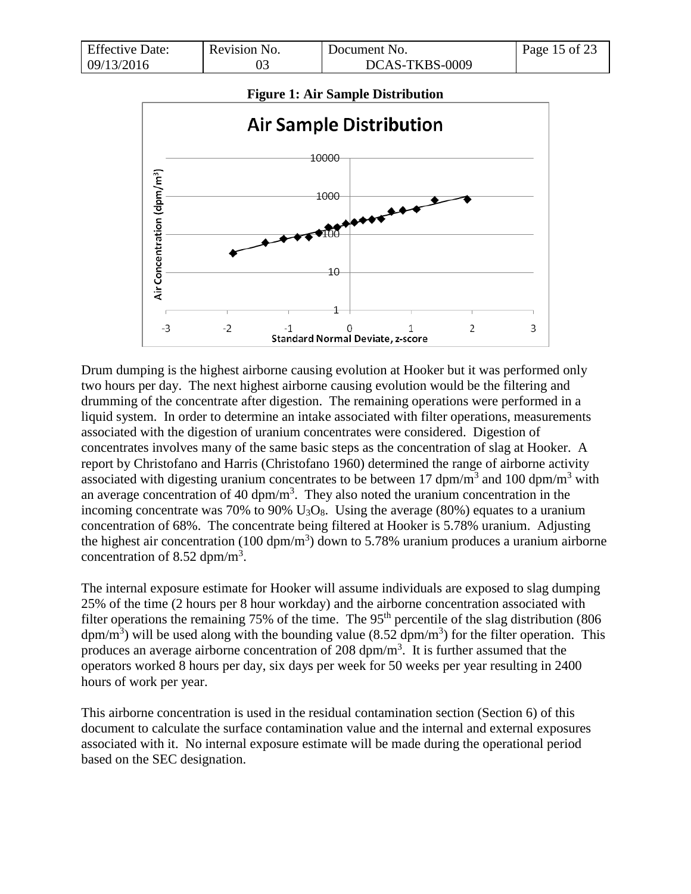| <b>Effective Date:</b> | Revision No. | Document No.   | Page 15 of 23 |
|------------------------|--------------|----------------|---------------|
| 09/13/2016             |              | DCAS-TKBS-0009 |               |



Drum dumping is the highest airborne causing evolution at Hooker but it was performed only two hours per day. The next highest airborne causing evolution would be the filtering and drumming of the concentrate after digestion. The remaining operations were performed in a liquid system. In order to determine an intake associated with filter operations, measurements associated with the digestion of uranium concentrates were considered. Digestion of concentrates involves many of the same basic steps as the concentration of slag at Hooker. A report by Christofano and Harris (Christofano 1960) determined the range of airborne activity associated with digesting uranium concentrates to be between 17 dpm/m<sup>3</sup> and 100 dpm/m<sup>3</sup> with an average concentration of 40  $\text{dpm/m}^3$ . They also noted the uranium concentration in the incoming concentrate was 70% to 90%  $U_3O_8$ . Using the average (80%) equates to a uranium concentration of 68%. The concentrate being filtered at Hooker is 5.78% uranium. Adjusting the highest air concentration (100 dpm/m<sup>3</sup>) down to 5.78% uranium produces a uranium airborne concentration of 8.52 dpm/m<sup>3</sup>.

The internal exposure estimate for Hooker will assume individuals are exposed to slag dumping 25% of the time (2 hours per 8 hour workday) and the airborne concentration associated with filter operations the remaining 75% of the time. The 95<sup>th</sup> percentile of the slag distribution (806 dpm/m<sup>3</sup>) will be used along with the bounding value (8.52 dpm/m<sup>3</sup>) for the filter operation. This produces an average airborne concentration of 208  $dpm/m<sup>3</sup>$ . It is further assumed that the operators worked 8 hours per day, six days per week for 50 weeks per year resulting in 2400 hours of work per year.

This airborne concentration is used in the residual contamination section (Section 6) of this document to calculate the surface contamination value and the internal and external exposures associated with it. No internal exposure estimate will be made during the operational period based on the SEC designation.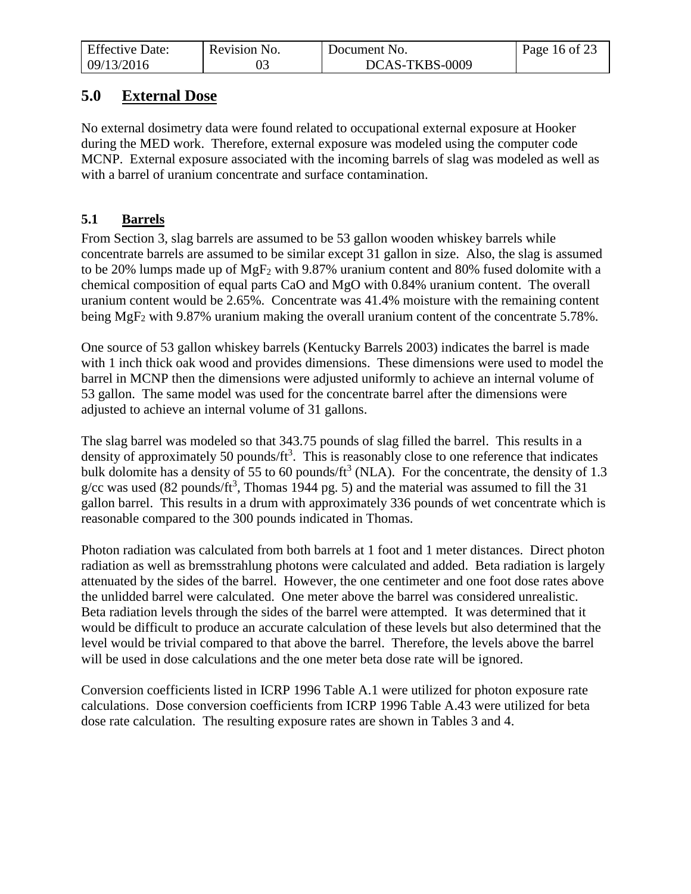| <b>Effective Date:</b> | Revision No. | Document No.   | Page 16 of 23 |
|------------------------|--------------|----------------|---------------|
| 09/13/2016             |              | DCAS-TKBS-0009 |               |

# <span id="page-15-0"></span>**5.0 External Dose**

No external dosimetry data were found related to occupational external exposure at Hooker during the MED work. Therefore, external exposure was modeled using the computer code MCNP. External exposure associated with the incoming barrels of slag was modeled as well as with a barrel of uranium concentrate and surface contamination.

# <span id="page-15-1"></span>**5.1 Barrels**

From Section 3, slag barrels are assumed to be 53 gallon wooden whiskey barrels while concentrate barrels are assumed to be similar except 31 gallon in size. Also, the slag is assumed to be 20% lumps made up of MgF<sup>2</sup> with 9.87% uranium content and 80% fused dolomite with a chemical composition of equal parts CaO and MgO with 0.84% uranium content. The overall uranium content would be 2.65%. Concentrate was 41.4% moisture with the remaining content being MgF<sup>2</sup> with 9.87% uranium making the overall uranium content of the concentrate 5.78%.

One source of 53 gallon whiskey barrels (Kentucky Barrels 2003) indicates the barrel is made with 1 inch thick oak wood and provides dimensions. These dimensions were used to model the barrel in MCNP then the dimensions were adjusted uniformly to achieve an internal volume of 53 gallon. The same model was used for the concentrate barrel after the dimensions were adjusted to achieve an internal volume of 31 gallons.

The slag barrel was modeled so that 343.75 pounds of slag filled the barrel. This results in a density of approximately 50 pounds/ $ft<sup>3</sup>$ . This is reasonably close to one reference that indicates bulk dolomite has a density of 55 to 60 pounds/ $\text{ft}^3$  (NLA). For the concentrate, the density of 1.3 g/cc was used (82 pounds/ft<sup>3</sup>, Thomas 1944 pg. 5) and the material was assumed to fill the 31 gallon barrel. This results in a drum with approximately 336 pounds of wet concentrate which is reasonable compared to the 300 pounds indicated in Thomas.

Photon radiation was calculated from both barrels at 1 foot and 1 meter distances. Direct photon radiation as well as bremsstrahlung photons were calculated and added. Beta radiation is largely attenuated by the sides of the barrel. However, the one centimeter and one foot dose rates above the unlidded barrel were calculated. One meter above the barrel was considered unrealistic. Beta radiation levels through the sides of the barrel were attempted. It was determined that it would be difficult to produce an accurate calculation of these levels but also determined that the level would be trivial compared to that above the barrel. Therefore, the levels above the barrel will be used in dose calculations and the one meter beta dose rate will be ignored.

Conversion coefficients listed in ICRP 1996 Table A.1 were utilized for photon exposure rate calculations. Dose conversion coefficients from ICRP 1996 Table A.43 were utilized for beta dose rate calculation. The resulting exposure rates are shown in Tables 3 and 4.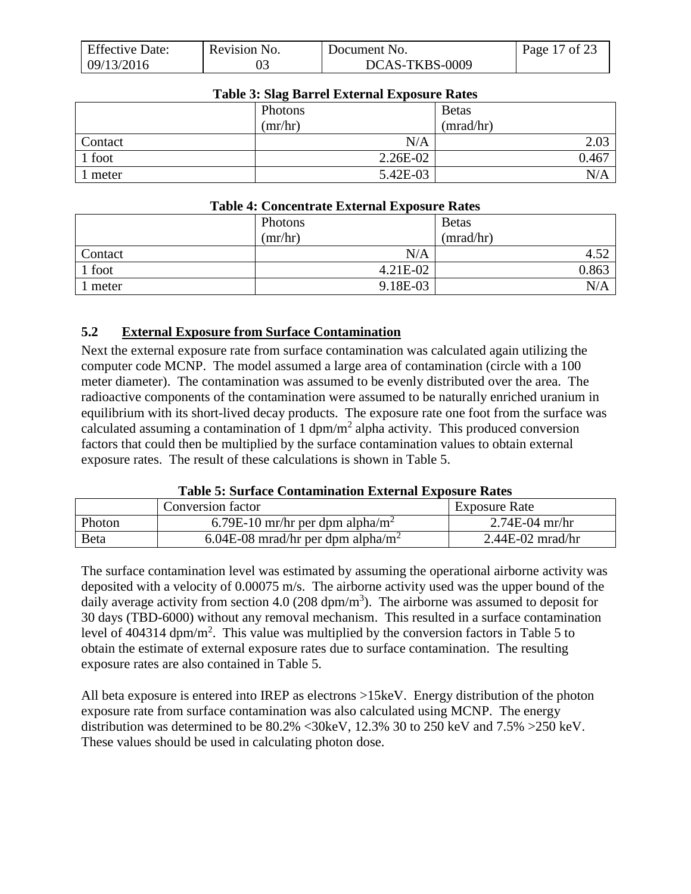| <b>Effective Date:</b> | Revision No. | Document No.   | Page 17 of 23 |
|------------------------|--------------|----------------|---------------|
| 09/13/2016             |              | DCAS-TKBS-0009 |               |

| Table 5: Stag Barrel External Exposure Rates |            |              |  |  |
|----------------------------------------------|------------|--------------|--|--|
|                                              | Photons    | <b>Betas</b> |  |  |
|                                              | (mr/hr)    | (mrad/hr)    |  |  |
| Contact                                      | N/A        | 2.03         |  |  |
| 1 foot                                       | $2.26E-02$ | 0.467        |  |  |
| meter                                        | 5.42E-03   | N/A          |  |  |

## **Table 3: Slag Barrel External Exposure Rates**

#### **Table 4: Concentrate External Exposure Rates**

|                | Photons  | <b>Betas</b> |
|----------------|----------|--------------|
|                | (mr/hr)  | (mrad/hr)    |
| <b>Contact</b> | N/A      | -50<br>4.JZ  |
| $\vert$ 1 foot | 4.21E-02 | 0.863        |
| 1 meter        | 9.18E-03 | N/A          |

### <span id="page-16-0"></span>**5.2 External Exposure from Surface Contamination**

Next the external exposure rate from surface contamination was calculated again utilizing the computer code MCNP. The model assumed a large area of contamination (circle with a 100 meter diameter). The contamination was assumed to be evenly distributed over the area. The radioactive components of the contamination were assumed to be naturally enriched uranium in equilibrium with its short-lived decay products. The exposure rate one foot from the surface was calculated assuming a contamination of 1 dpm/m<sup>2</sup> alpha activity. This produced conversion factors that could then be multiplied by the surface contamination values to obtain external exposure rates. The result of these calculations is shown in Table 5.

#### **Table 5: Surface Contamination External Exposure Rates**

|        | Conversion factor                             | <b>Exposure Rate</b> |
|--------|-----------------------------------------------|----------------------|
| Photon | 6.79E-10 mr/hr per dpm alpha/m <sup>2</sup>   | $2.74E-04$ mr/hr     |
| Beta   | 6.04E-08 mrad/hr per dpm alpha/m <sup>2</sup> | $2.44E-02$ mrad/hr   |

The surface contamination level was estimated by assuming the operational airborne activity was deposited with a velocity of 0.00075 m/s. The airborne activity used was the upper bound of the daily average activity from section 4.0 (208 dpm/m<sup>3</sup>). The airborne was assumed to deposit for 30 days (TBD-6000) without any removal mechanism. This resulted in a surface contamination level of 404314 dpm/m<sup>2</sup>. This value was multiplied by the conversion factors in Table 5 to obtain the estimate of external exposure rates due to surface contamination. The resulting exposure rates are also contained in Table 5.

All beta exposure is entered into IREP as electrons >15keV. Energy distribution of the photon exposure rate from surface contamination was also calculated using MCNP. The energy distribution was determined to be 80.2% <30keV, 12.3% 30 to 250 keV and 7.5% >250 keV. These values should be used in calculating photon dose.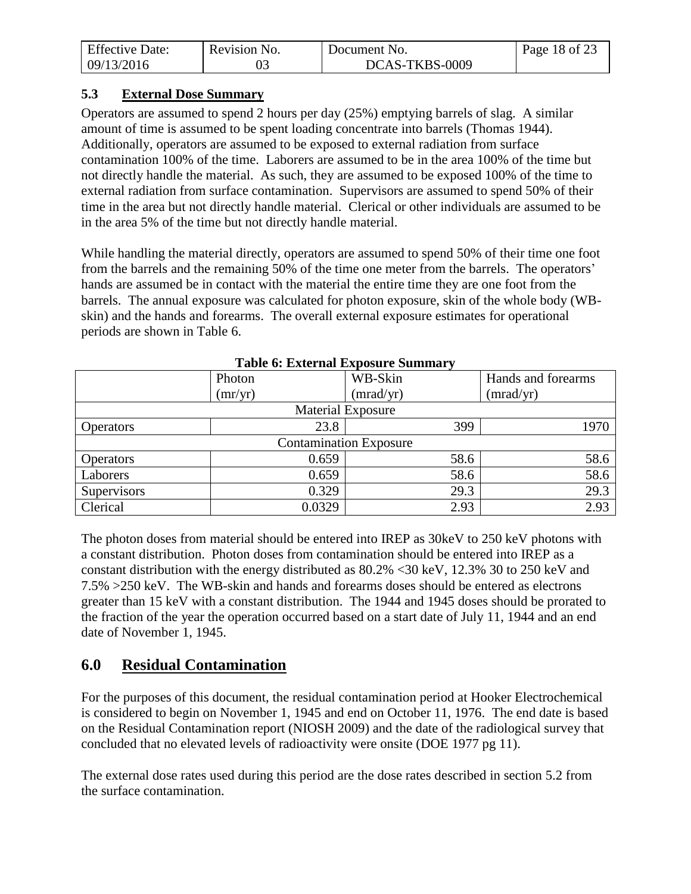| <b>Effective Date:</b> | Revision No. | Document No.   | Page 18 of 23 |
|------------------------|--------------|----------------|---------------|
| 09/13/2016             |              | DCAS-TKBS-0009 |               |

#### <span id="page-17-0"></span>**5.3 External Dose Summary**

Operators are assumed to spend 2 hours per day (25%) emptying barrels of slag. A similar amount of time is assumed to be spent loading concentrate into barrels (Thomas 1944). Additionally, operators are assumed to be exposed to external radiation from surface contamination 100% of the time. Laborers are assumed to be in the area 100% of the time but not directly handle the material. As such, they are assumed to be exposed 100% of the time to external radiation from surface contamination. Supervisors are assumed to spend 50% of their time in the area but not directly handle material. Clerical or other individuals are assumed to be in the area 5% of the time but not directly handle material.

While handling the material directly, operators are assumed to spend 50% of their time one foot from the barrels and the remaining 50% of the time one meter from the barrels. The operators' hands are assumed be in contact with the material the entire time they are one foot from the barrels. The annual exposure was calculated for photon exposure, skin of the whole body (WBskin) and the hands and forearms. The overall external exposure estimates for operational periods are shown in Table 6.

| тарк о. Елипандаровате ранный у |                          |           |                    |  |  |
|---------------------------------|--------------------------|-----------|--------------------|--|--|
|                                 | Photon                   | WB-Skin   | Hands and forearms |  |  |
|                                 | (mr/yr)                  | (mrad/yr) | (mrad/yr)          |  |  |
|                                 | <b>Material Exposure</b> |           |                    |  |  |
| <b>Operators</b>                | 23.8                     | 399       | 1970               |  |  |
| <b>Contamination Exposure</b>   |                          |           |                    |  |  |
| <b>Operators</b>                | 0.659                    | 58.6      | 58.6               |  |  |
| Laborers                        | 0.659                    | 58.6      | 58.6               |  |  |
| Supervisors                     | 0.329                    | 29.3      | 29.3               |  |  |
| Clerical                        | 0.0329                   | 2.93      | 2.93               |  |  |

**Table 6: External Exposure Summary** 

The photon doses from material should be entered into IREP as 30keV to 250 keV photons with a constant distribution. Photon doses from contamination should be entered into IREP as a constant distribution with the energy distributed as 80.2% <30 keV, 12.3% 30 to 250 keV and 7.5% >250 keV. The WB-skin and hands and forearms doses should be entered as electrons greater than 15 keV with a constant distribution. The 1944 and 1945 doses should be prorated to the fraction of the year the operation occurred based on a start date of July 11, 1944 and an end date of November 1, 1945.

# <span id="page-17-1"></span>**6.0 Residual Contamination**

For the purposes of this document, the residual contamination period at Hooker Electrochemical is considered to begin on November 1, 1945 and end on October 11, 1976. The end date is based on the Residual Contamination report (NIOSH 2009) and the date of the radiological survey that concluded that no elevated levels of radioactivity were onsite (DOE 1977 pg 11).

The external dose rates used during this period are the dose rates described in section 5.2 from the surface contamination.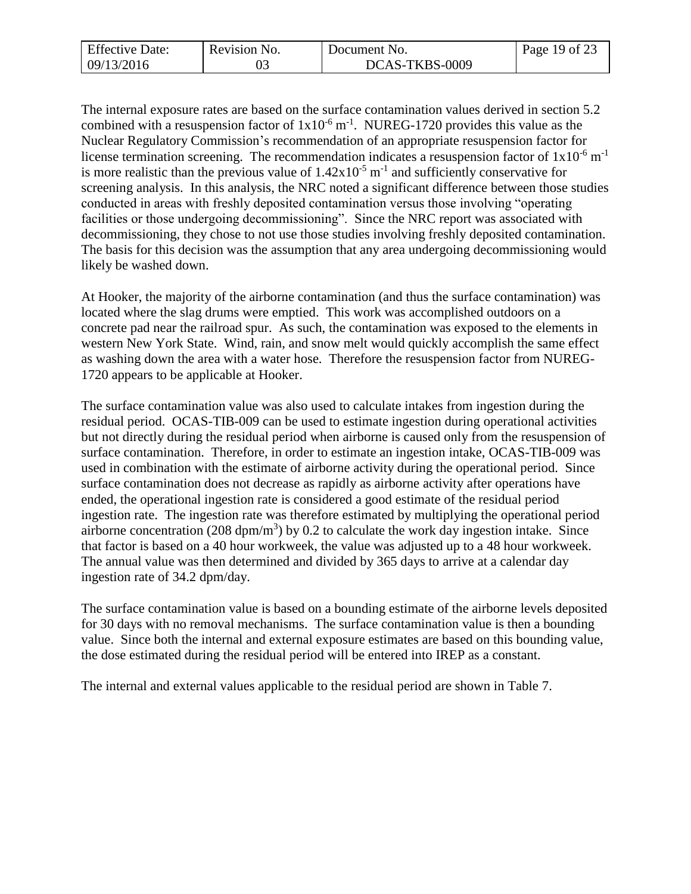| <b>Effective Date:</b> | Revision No. | Document No.   | Page 19 of 23 |
|------------------------|--------------|----------------|---------------|
| 09/13/2016             |              | DCAS-TKBS-0009 |               |

The internal exposure rates are based on the surface contamination values derived in section 5.2 combined with a resuspension factor of  $1x10^{-6}$  m<sup>-1</sup>. NUREG-1720 provides this value as the Nuclear Regulatory Commission's recommendation of an appropriate resuspension factor for license termination screening. The recommendation indicates a resuspension factor of  $1x10^{-6}$  m<sup>-1</sup> is more realistic than the previous value of  $1.42 \times 10^{-5}$  m<sup>-1</sup> and sufficiently conservative for screening analysis. In this analysis, the NRC noted a significant difference between those studies conducted in areas with freshly deposited contamination versus those involving "operating facilities or those undergoing decommissioning". Since the NRC report was associated with decommissioning, they chose to not use those studies involving freshly deposited contamination. The basis for this decision was the assumption that any area undergoing decommissioning would likely be washed down.

At Hooker, the majority of the airborne contamination (and thus the surface contamination) was located where the slag drums were emptied. This work was accomplished outdoors on a concrete pad near the railroad spur. As such, the contamination was exposed to the elements in western New York State. Wind, rain, and snow melt would quickly accomplish the same effect as washing down the area with a water hose. Therefore the resuspension factor from NUREG-1720 appears to be applicable at Hooker.

The surface contamination value was also used to calculate intakes from ingestion during the residual period. OCAS-TIB-009 can be used to estimate ingestion during operational activities but not directly during the residual period when airborne is caused only from the resuspension of surface contamination. Therefore, in order to estimate an ingestion intake, OCAS-TIB-009 was used in combination with the estimate of airborne activity during the operational period. Since surface contamination does not decrease as rapidly as airborne activity after operations have ended, the operational ingestion rate is considered a good estimate of the residual period ingestion rate. The ingestion rate was therefore estimated by multiplying the operational period airborne concentration (208 dpm/m<sup>3</sup>) by 0.2 to calculate the work day ingestion intake. Since that factor is based on a 40 hour workweek, the value was adjusted up to a 48 hour workweek. The annual value was then determined and divided by 365 days to arrive at a calendar day ingestion rate of 34.2 dpm/day.

The surface contamination value is based on a bounding estimate of the airborne levels deposited for 30 days with no removal mechanisms. The surface contamination value is then a bounding value. Since both the internal and external exposure estimates are based on this bounding value, the dose estimated during the residual period will be entered into IREP as a constant.

The internal and external values applicable to the residual period are shown in Table 7.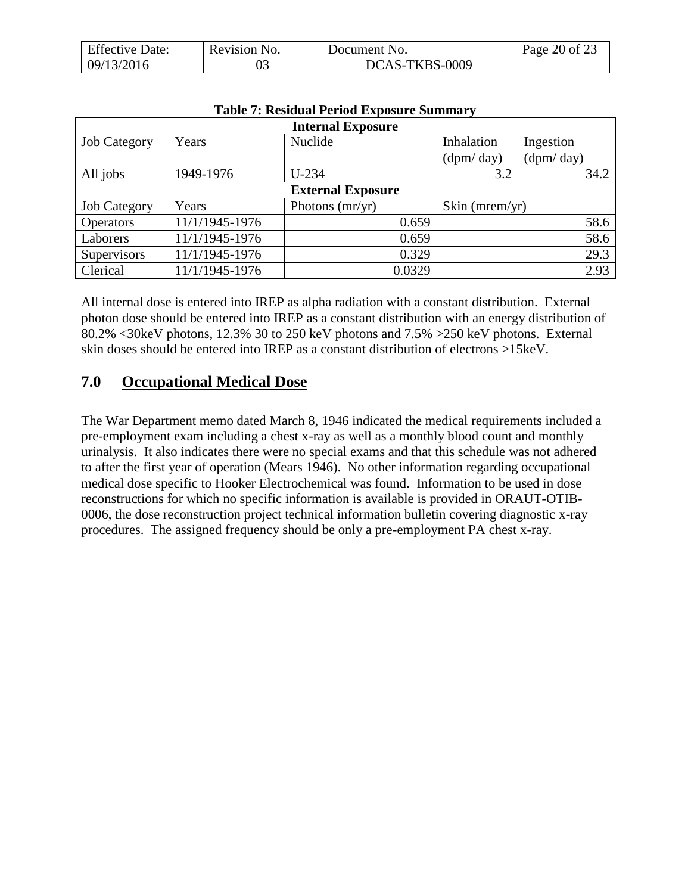| <b>Effective Date:</b> | Revision No. | Document No.   | Page 20 of 23 |
|------------------------|--------------|----------------|---------------|
| 09/13/2016             |              | DCAS-TKBS-0009 |               |

| <b>Internal Exposure</b> |                          |                   |                |           |  |  |
|--------------------------|--------------------------|-------------------|----------------|-----------|--|--|
| <b>Job Category</b>      | Years                    | Nuclide           | Inhalation     | Ingestion |  |  |
|                          |                          |                   | (dpm/day)      | (dpm/day) |  |  |
| All jobs                 | 1949-1976                | $U-234$           | 3.2            | 34.2      |  |  |
|                          | <b>External Exposure</b> |                   |                |           |  |  |
| <b>Job Category</b>      | Years                    | Photons $(mr/yr)$ | Skin (mrem/yr) |           |  |  |
| <b>Operators</b>         | 11/1/1945-1976           | 0.659             |                | 58.6      |  |  |
| Laborers                 | 11/1/1945-1976           | 0.659             |                | 58.6      |  |  |
| Supervisors              | 11/1/1945-1976           | 0.329             |                | 29.3      |  |  |
| Clerical                 | 11/1/1945-1976           | 0.0329            |                | 2.93      |  |  |

### **Table 7: Residual Period Exposure Summary**

All internal dose is entered into IREP as alpha radiation with a constant distribution. External photon dose should be entered into IREP as a constant distribution with an energy distribution of 80.2% <30keV photons, 12.3% 30 to 250 keV photons and 7.5% >250 keV photons. External skin doses should be entered into IREP as a constant distribution of electrons >15keV.

# <span id="page-19-0"></span>**7.0 Occupational Medical Dose**

The War Department memo dated March 8, 1946 indicated the medical requirements included a pre-employment exam including a chest x-ray as well as a monthly blood count and monthly urinalysis. It also indicates there were no special exams and that this schedule was not adhered to after the first year of operation (Mears 1946). No other information regarding occupational medical dose specific to Hooker Electrochemical was found. Information to be used in dose reconstructions for which no specific information is available is provided in ORAUT-OTIB-0006, the dose reconstruction project technical information bulletin covering diagnostic x-ray procedures. The assigned frequency should be only a pre-employment PA chest x-ray.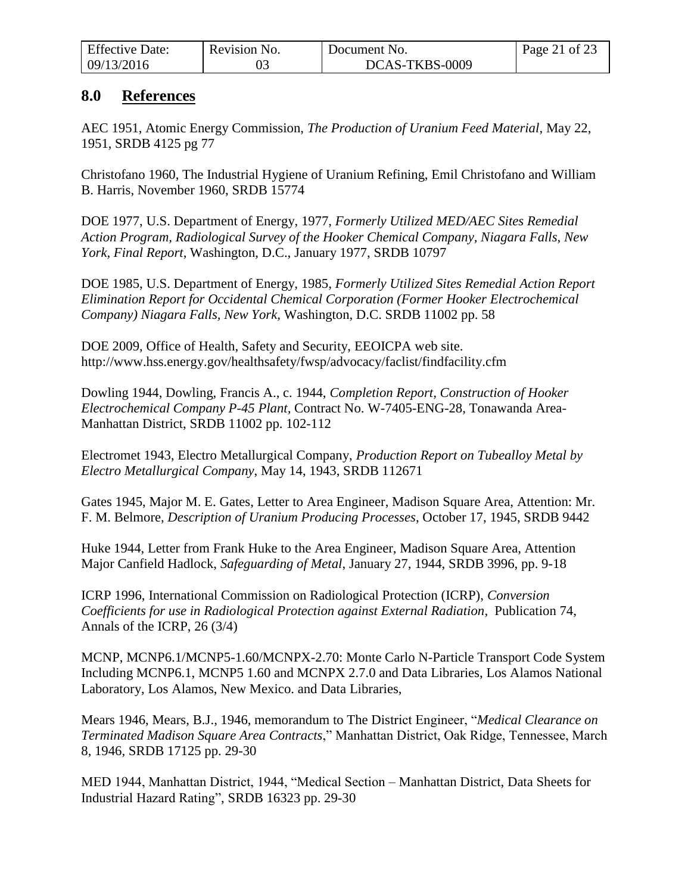| <b>Effective Date:</b> | Revision No. | Document No.   | Page 21 of 23 |
|------------------------|--------------|----------------|---------------|
| 09/13/2016             |              | DCAS-TKBS-0009 |               |

## <span id="page-20-0"></span>**8.0 References**

AEC 1951, Atomic Energy Commission, *The Production of Uranium Feed Material*, May 22, 1951, SRDB 4125 pg 77

Christofano 1960, The Industrial Hygiene of Uranium Refining, Emil Christofano and William B. Harris, November 1960, SRDB 15774

DOE 1977, U.S. Department of Energy, 1977, *Formerly Utilized MED/AEC Sites Remedial Action Program, Radiological Survey of the Hooker Chemical Company, Niagara Falls, New York, Final Report*, Washington, D.C., January 1977, SRDB 10797

DOE 1985, U.S. Department of Energy, 1985, *Formerly Utilized Sites Remedial Action Report Elimination Report for Occidental Chemical Corporation (Former Hooker Electrochemical Company) Niagara Falls, New York,* Washington, D.C. SRDB 11002 pp. 58

DOE 2009, Office of Health, Safety and Security, EEOICPA web site. http://www.hss.energy.gov/healthsafety/fwsp/advocacy/faclist/findfacility.cfm

Dowling 1944, Dowling, Francis A., c. 1944, *Completion Report, Construction of Hooker Electrochemical Company P-45 Plant,* Contract No. W-7405-ENG-28, Tonawanda Area-Manhattan District, SRDB 11002 pp. 102-112

Electromet 1943, Electro Metallurgical Company, *Production Report on Tubealloy Metal by Electro Metallurgical Company*, May 14, 1943, SRDB 112671

Gates 1945, Major M. E. Gates, Letter to Area Engineer, Madison Square Area, Attention: Mr. F. M. Belmore, *Description of Uranium Producing Processes*, October 17, 1945, SRDB 9442

Huke 1944, Letter from Frank Huke to the Area Engineer, Madison Square Area, Attention Major Canfield Hadlock, *Safeguarding of Metal*, January 27, 1944, SRDB 3996, pp. 9-18

ICRP 1996, International Commission on Radiological Protection (ICRP), *Conversion Coefficients for use in Radiological Protection against External Radiation*, Publication 74, Annals of the ICRP, 26 (3/4)

MCNP, MCNP6.1/MCNP5-1.60/MCNPX-2.70: Monte Carlo N-Particle Transport Code System Including MCNP6.1, MCNP5 1.60 and MCNPX 2.7.0 and Data Libraries, Los Alamos National Laboratory, Los Alamos, New Mexico. and Data Libraries,

Mears 1946, Mears, B.J., 1946, memorandum to The District Engineer, "*Medical Clearance on Terminated Madison Square Area Contracts*," Manhattan District, Oak Ridge, Tennessee, March 8, 1946, SRDB 17125 pp. 29-30

MED 1944, Manhattan District, 1944, "Medical Section – Manhattan District, Data Sheets for Industrial Hazard Rating", SRDB 16323 pp. 29-30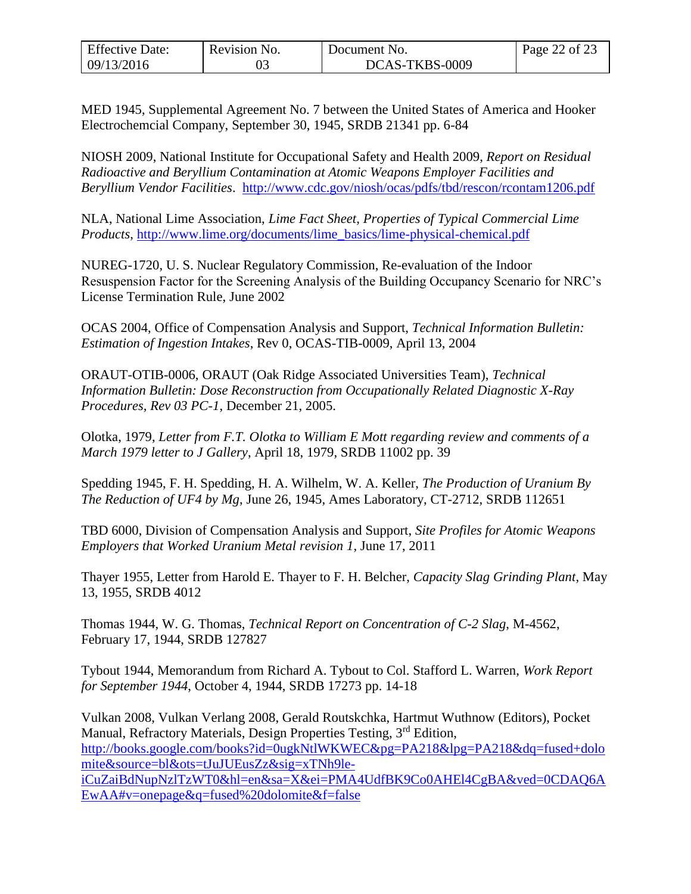| <b>Effective Date:</b> | Revision No. | Document No.   | Page 22 of 23 |
|------------------------|--------------|----------------|---------------|
| 09/13/2016             |              | DCAS-TKBS-0009 |               |

MED 1945, Supplemental Agreement No. 7 between the United States of America and Hooker Electrochemcial Company, September 30, 1945, SRDB 21341 pp. 6-84

NIOSH 2009, National Institute for Occupational Safety and Health 2009, *Report on Residual Radioactive and Beryllium Contamination at Atomic Weapons Employer Facilities and Beryllium Vendor Facilities*. <http://www.cdc.gov/niosh/ocas/pdfs/tbd/rescon/rcontam1206.pdf>

NLA, National Lime Association, *Lime Fact Sheet, Properties of Typical Commercial Lime Products*, [http://www.lime.org/documents/lime\\_basics/lime-physical-chemical.pdf](http://www.lime.org/documents/lime_basics/lime-physical-chemical.pdf)

NUREG-1720, U. S. Nuclear Regulatory Commission, Re-evaluation of the Indoor Resuspension Factor for the Screening Analysis of the Building Occupancy Scenario for NRC's License Termination Rule, June 2002

OCAS 2004, Office of Compensation Analysis and Support, *Technical Information Bulletin: Estimation of Ingestion Intakes*, Rev 0, OCAS-TIB-0009, April 13, 2004

ORAUT-OTIB-0006, ORAUT (Oak Ridge Associated Universities Team), *Technical Information Bulletin: Dose Reconstruction from Occupationally Related Diagnostic X-Ray Procedures, Rev 03 PC-1*, December 21, 2005.

Olotka, 1979, *Letter from F.T. Olotka to William E Mott regarding review and comments of a March 1979 letter to J Gallery*, April 18, 1979*,* SRDB 11002 pp. 39

Spedding 1945, F. H. Spedding, H. A. Wilhelm, W. A. Keller, *The Production of Uranium By The Reduction of UF4 by Mg*, June 26, 1945, Ames Laboratory, CT-2712, SRDB 112651

TBD 6000, Division of Compensation Analysis and Support, *Site Profiles for Atomic Weapons Employers that Worked Uranium Metal revision 1*, June 17, 2011

Thayer 1955, Letter from Harold E. Thayer to F. H. Belcher, *Capacity Slag Grinding Plant*, May 13, 1955, SRDB 4012

Thomas 1944, W. G. Thomas, *Technical Report on Concentration of C-2 Slag*, M-4562, February 17, 1944, SRDB 127827

Tybout 1944, Memorandum from Richard A. Tybout to Col. Stafford L. Warren, *Work Report for September 1944*, October 4, 1944, SRDB 17273 pp. 14-18

Vulkan 2008, Vulkan Verlang 2008, Gerald Routskchka, Hartmut Wuthnow (Editors), Pocket Manual, Refractory Materials, Design Properties Testing, 3rd Edition, [http://books.google.com/books?id=0ugkNtlWKWEC&pg=PA218&lpg=PA218&dq=fused+dolo](http://books.google.com/books?id=0ugkNtlWKWEC&pg=PA218&lpg=PA218&dq=fused+dolomite&source=bl&ots=tJuJUEusZz&sig=xTNh9le-iCuZaiBdNupNzlTzWT0&hl=en&sa=X&ei=PMA4UdfBK9Co0AHEl4CgBA&ved=0CDAQ6AEwAA#v=onepage&q=fused%20dolomite&f=false) [mite&source=bl&ots=tJuJUEusZz&sig=xTNh9le](http://books.google.com/books?id=0ugkNtlWKWEC&pg=PA218&lpg=PA218&dq=fused+dolomite&source=bl&ots=tJuJUEusZz&sig=xTNh9le-iCuZaiBdNupNzlTzWT0&hl=en&sa=X&ei=PMA4UdfBK9Co0AHEl4CgBA&ved=0CDAQ6AEwAA#v=onepage&q=fused%20dolomite&f=false)[iCuZaiBdNupNzlTzWT0&hl=en&sa=X&ei=PMA4UdfBK9Co0AHEl4CgBA&ved=0CDAQ6A](http://books.google.com/books?id=0ugkNtlWKWEC&pg=PA218&lpg=PA218&dq=fused+dolomite&source=bl&ots=tJuJUEusZz&sig=xTNh9le-iCuZaiBdNupNzlTzWT0&hl=en&sa=X&ei=PMA4UdfBK9Co0AHEl4CgBA&ved=0CDAQ6AEwAA#v=onepage&q=fused%20dolomite&f=false) [EwAA#v=onepage&q=fused%20dolomite&f=false](http://books.google.com/books?id=0ugkNtlWKWEC&pg=PA218&lpg=PA218&dq=fused+dolomite&source=bl&ots=tJuJUEusZz&sig=xTNh9le-iCuZaiBdNupNzlTzWT0&hl=en&sa=X&ei=PMA4UdfBK9Co0AHEl4CgBA&ved=0CDAQ6AEwAA#v=onepage&q=fused%20dolomite&f=false)